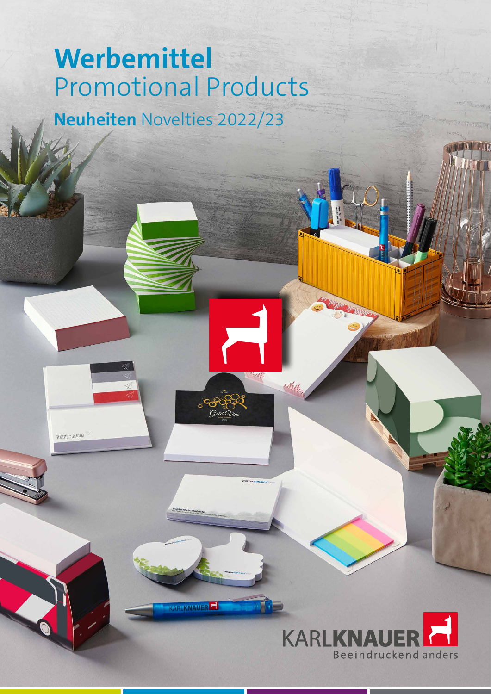# **Werbemittel**  Promotional Products **Neuheiten** Novelties 2022/23

**ARLKNAUE** 

**VENTETTEL DICH NICHT** 

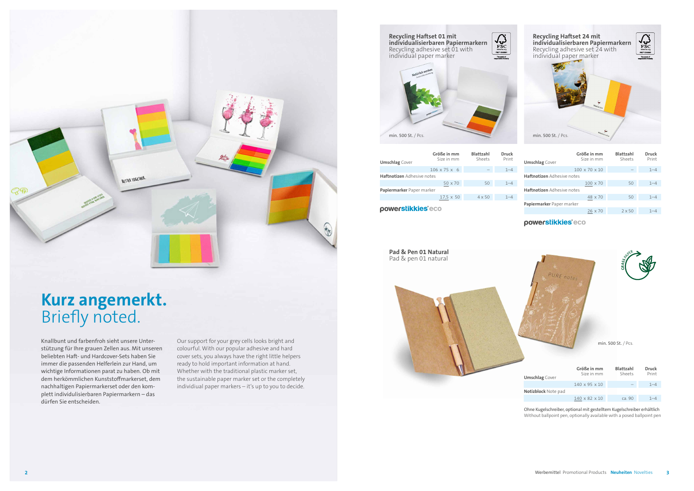ca. 90 1–4

Ohne Kugelschreiber, optional mit gestelltem Kugelschreiber erhältlich Without ballpoint pen, optionally available with a posed ballpoint pen

### **Kurz angemerkt.** Briefly noted.

Knallbunt und farbenfroh sieht unsere Unterstützung für Ihre grauen Zellen aus. Mit unseren beliebten Haft- und Hardcover-Sets haben Sie immer die passenden Helferlein zur Hand, um wichtige Informationen parat zu haben. Ob mit dem herkömmlichen Kunststoffmarkerset, dem nachhaltigen Papiermarkerset oder den komplett individulisierbaren Papiermarkern – das dürfen Sie entscheiden.



### $\overline{\text{FSC}}$ **Recycling Haftset 01 mit individualisierbaren Papiermarkern** Recycling adhesive set 01 with individual paper marker

min. 500 St. / Pcs. min. 500 St. / Pcs.

Our support for your grey cells looks bright and colourful. With our popular adhesive and hard cover sets, you always have the right little helpers ready to hold important information at hand. Whether with the traditional plastic marker set, the sustainable paper marker set or the completely individiual paper markers – it's up to you to decide.





| <b>Umschlag</b> Cover             | Größe in mm<br>Size in mm | <b>Blattzahl</b><br>Sheets | <b>Druck</b><br>Print |
|-----------------------------------|---------------------------|----------------------------|-----------------------|
|                                   | $106 \times 75 \times 6$  |                            | $1 - 4$               |
| <b>Haftnotizen</b> Adhesive notes |                           |                            |                       |
|                                   | 50 x 70                   | 50                         | $1 - 4$               |
| Papiermarker Paper marker         |                           |                            |                       |
|                                   | $17.5 \times 50$          | $4 \times 50$              | $1 - 4$               |
| powerstikkies <sup>®</sup> eco    |                           |                            |                       |

| <b>Umschlag</b> Cover             | Größe in mm<br>Size in mm | <b>Blattzahl</b><br>Sheets | <b>Druck</b><br>Print |
|-----------------------------------|---------------------------|----------------------------|-----------------------|
|                                   | $100 \times 70 \times 10$ |                            | $1 - 4$               |
| <b>Haftnotizen</b> Adhesive notes |                           |                            |                       |
|                                   | $100 \times 70$           | 50                         | $1 - 4$               |
| <b>Haftnotizen</b> Adhesive notes |                           |                            |                       |
|                                   | 48 x 70                   | 50                         | $1 - 4$               |
| Papiermarker Paper marker         |                           |                            |                       |
|                                   | $26 \times 70$            | $2 \times 50$              | $1 - 4$               |
|                                   |                           |                            |                       |

powerstikkies<sup>®</sup>eco

**Pad & Pen 01 Natural** Pad & pen 01 natural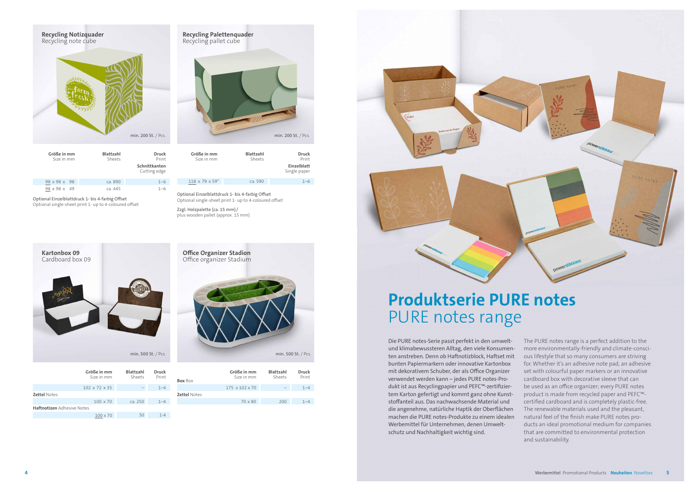| <b>Recycling Palettenquader</b><br>Recycling pallet cube |
|----------------------------------------------------------|
|                                                          |
|                                                          |
| min. 200 St. / Pcs.                                      |



| Größe in mm<br>Size in mm   | <b>Blattzahl</b><br>Sheets | <b>Druck</b><br>Print<br>Einzelblatt<br>Single paper |
|-----------------------------|----------------------------|------------------------------------------------------|
| $118 \times 79 \times 59$ * | ca. 590                    | $1 - 6$                                              |

| Print                         | Sheets  | Size in mm               |
|-------------------------------|---------|--------------------------|
| Schnittkanten<br>Cutting edge |         |                          |
| $1 - 6$                       | ca. 890 | $98 \times 98 \times 98$ |
| $1 - 6$                       | ca. 445 | 98 x 98 x 49             |

Zzgl. Holzpalette (ca. 15 mm) / plus wooden pallet (approx. 15 mm)

 Optional Einzelblattdruck 1- bis 4-farbig Offset Optional single-sheet print 1- up to 4-coloured offset Optional Einzelblattdruck 1- bis 4-farbig Offset Optional single-sheet print 1- up to 4-coloured offset





| Größe in mm<br>Size in mm         | <b>Blattzahl</b><br>Sheets | <b>Druck</b><br>Print |  |
|-----------------------------------|----------------------------|-----------------------|--|
| $102 \times 72 \times 35$         |                            | $1 - 4$               |  |
| <b>Zettel Notes</b>               |                            |                       |  |
| $100 \times 70$                   | ca. 250                    | $1 - 4$               |  |
| <b>Haftnotizen</b> Adhesive Notes |                            |                       |  |
| $100 \times 70$                   | 50                         | $1 - 4$               |  |

| <b>Box Box</b>      | Größe in mm<br>Size in mm  | Blattzahl<br>Sheets | <b>Druck</b><br>Print |
|---------------------|----------------------------|---------------------|-----------------------|
|                     | $175 \times 102 \times 70$ |                     | $1 - 4$               |
| <b>Zettel Notes</b> |                            |                     |                       |
|                     | $70 \times 80$             | 200                 | $1 - 4$               |
|                     |                            |                     |                       |

## **Produktserie PURE notes** PURE notes range

Die PURE notes-Serie passt perfekt in den umweltund klimabewussteren Alltag, den viele Konsumenten anstreben. Denn ob Haftnotizblock, Haftset mit bunten Papiermarkern oder innovative Kartonbox mit dekorativem Schuber, der als Office Organizer verwendet werden kann – jedes PURE notes-Produkt ist aus Recyclingpapier und PEFC™-zertifiziertem Karton gefertigt und kommt ganz ohne Kunststoffanteil aus. Das nachwachsende Material und die angenehme, natürliche Haptik der Oberflächen machen die PURE notes-Produkte zu einem idealen Werbemittel für Unternehmen, denen Umweltschutz und Nachhaltigkeit wichtig sind. The PURE notes range is a perfect addition to the more environmentally-friendly and climate-conscious lifestyle that so many consumers are striving for. Whether it's an adhesive note pad, an adhesive set with colourful paper markers or an innovative cardboard box with decorative sleeve that can be used as an office organizer; every PURE notes product is made from recycled paper and PEFC™ certified cardboard and is completely plastic-free. The renewable materials used and the pleasant, natural feel of the finish make PURE notes products an ideal promotional medium for companies that are committed to environmental protection and sustainability.